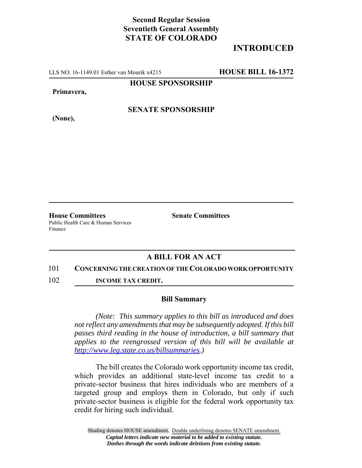## **Second Regular Session Seventieth General Assembly STATE OF COLORADO**

# **INTRODUCED**

LLS NO. 16-1149.01 Esther van Mourik x4215 **HOUSE BILL 16-1372**

**HOUSE SPONSORSHIP**

**Primavera,**

**(None),**

**SENATE SPONSORSHIP**

**House Committees Senate Committees** Public Health Care & Human Services

Finance

### **A BILL FOR AN ACT**

#### 101 **CONCERNING THE CREATION OF THE COLORADO WORK OPPORTUNITY**

102 **INCOME TAX CREDIT.**

### **Bill Summary**

*(Note: This summary applies to this bill as introduced and does not reflect any amendments that may be subsequently adopted. If this bill passes third reading in the house of introduction, a bill summary that applies to the reengrossed version of this bill will be available at http://www.leg.state.co.us/billsummaries.)*

The bill creates the Colorado work opportunity income tax credit, which provides an additional state-level income tax credit to a private-sector business that hires individuals who are members of a targeted group and employs them in Colorado, but only if such private-sector business is eligible for the federal work opportunity tax credit for hiring such individual.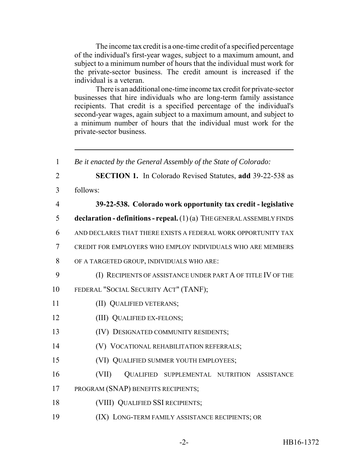The income tax credit is a one-time credit of a specified percentage of the individual's first-year wages, subject to a maximum amount, and subject to a minimum number of hours that the individual must work for the private-sector business. The credit amount is increased if the individual is a veteran.

There is an additional one-time income tax credit for private-sector businesses that hire individuals who are long-term family assistance recipients. That credit is a specified percentage of the individual's second-year wages, again subject to a maximum amount, and subject to a minimum number of hours that the individual must work for the private-sector business.

 *Be it enacted by the General Assembly of the State of Colorado:* **SECTION 1.** In Colorado Revised Statutes, **add** 39-22-538 as 3 follows: **39-22-538. Colorado work opportunity tax credit - legislative declaration - definitions - repeal.** (1) (a) THE GENERAL ASSEMBLY FINDS AND DECLARES THAT THERE EXISTS A FEDERAL WORK OPPORTUNITY TAX CREDIT FOR EMPLOYERS WHO EMPLOY INDIVIDUALS WHO ARE MEMBERS OF A TARGETED GROUP, INDIVIDUALS WHO ARE: (I) RECIPIENTS OF ASSISTANCE UNDER PART A OF TITLE IV OF THE FEDERAL "SOCIAL SECURITY ACT" (TANF); 11 (II) QUALIFIED VETERANS; **(III) QUALIFIED EX-FELONS;**  (IV) DESIGNATED COMMUNITY RESIDENTS; (V) VOCATIONAL REHABILITATION REFERRALS; (VI) QUALIFIED SUMMER YOUTH EMPLOYEES; (VII) QUALIFIED SUPPLEMENTAL NUTRITION ASSISTANCE PROGRAM (SNAP) BENEFITS RECIPIENTS; (VIII) QUALIFIED SSI RECIPIENTS; (IX) LONG-TERM FAMILY ASSISTANCE RECIPIENTS; OR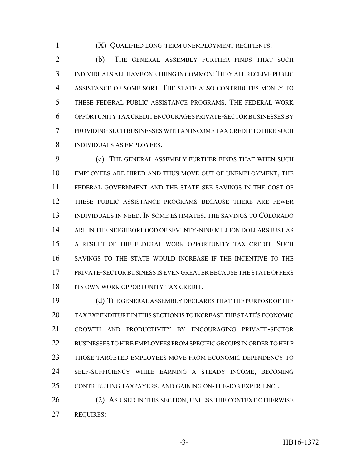(X) QUALIFIED LONG-TERM UNEMPLOYMENT RECIPIENTS.

2 (b) THE GENERAL ASSEMBLY FURTHER FINDS THAT SUCH INDIVIDUALS ALL HAVE ONE THING IN COMMON:THEY ALL RECEIVE PUBLIC ASSISTANCE OF SOME SORT. THE STATE ALSO CONTRIBUTES MONEY TO THESE FEDERAL PUBLIC ASSISTANCE PROGRAMS. THE FEDERAL WORK OPPORTUNITY TAX CREDIT ENCOURAGES PRIVATE-SECTOR BUSINESSES BY PROVIDING SUCH BUSINESSES WITH AN INCOME TAX CREDIT TO HIRE SUCH INDIVIDUALS AS EMPLOYEES.

 (c) THE GENERAL ASSEMBLY FURTHER FINDS THAT WHEN SUCH EMPLOYEES ARE HIRED AND THUS MOVE OUT OF UNEMPLOYMENT, THE FEDERAL GOVERNMENT AND THE STATE SEE SAVINGS IN THE COST OF THESE PUBLIC ASSISTANCE PROGRAMS BECAUSE THERE ARE FEWER INDIVIDUALS IN NEED. IN SOME ESTIMATES, THE SAVINGS TO COLORADO ARE IN THE NEIGHBORHOOD OF SEVENTY-NINE MILLION DOLLARS JUST AS A RESULT OF THE FEDERAL WORK OPPORTUNITY TAX CREDIT. SUCH SAVINGS TO THE STATE WOULD INCREASE IF THE INCENTIVE TO THE PRIVATE-SECTOR BUSINESS IS EVEN GREATER BECAUSE THE STATE OFFERS 18 ITS OWN WORK OPPORTUNITY TAX CREDIT.

 (d) THE GENERAL ASSEMBLY DECLARES THAT THE PURPOSE OF THE TAX EXPENDITURE IN THIS SECTION IS TO INCREASE THE STATE'S ECONOMIC GROWTH AND PRODUCTIVITY BY ENCOURAGING PRIVATE-SECTOR BUSINESSES TO HIRE EMPLOYEES FROM SPECIFIC GROUPS IN ORDER TO HELP THOSE TARGETED EMPLOYEES MOVE FROM ECONOMIC DEPENDENCY TO SELF-SUFFICIENCY WHILE EARNING A STEADY INCOME, BECOMING CONTRIBUTING TAXPAYERS, AND GAINING ON-THE-JOB EXPERIENCE.

26 (2) AS USED IN THIS SECTION, UNLESS THE CONTEXT OTHERWISE REQUIRES: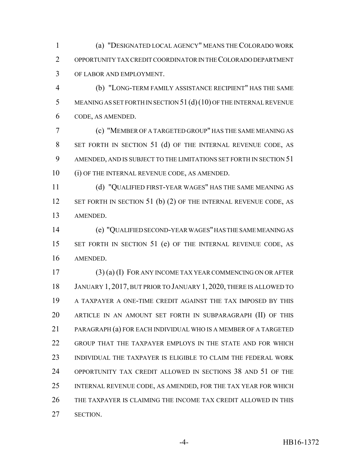(a) "DESIGNATED LOCAL AGENCY" MEANS THE COLORADO WORK OPPORTUNITY TAX CREDIT COORDINATOR IN THE COLORADO DEPARTMENT OF LABOR AND EMPLOYMENT.

 (b) "LONG-TERM FAMILY ASSISTANCE RECIPIENT" HAS THE SAME 5 MEANING AS SET FORTH IN SECTION 51 (d) (10) OF THE INTERNAL REVENUE CODE, AS AMENDED.

 (c) "MEMBER OF A TARGETED GROUP" HAS THE SAME MEANING AS SET FORTH IN SECTION 51 (d) OF THE INTERNAL REVENUE CODE, AS 9 AMENDED, AND IS SUBJECT TO THE LIMITATIONS SET FORTH IN SECTION 51 (i) OF THE INTERNAL REVENUE CODE, AS AMENDED.

 (d) "QUALIFIED FIRST-YEAR WAGES" HAS THE SAME MEANING AS 12 SET FORTH IN SECTION 51 (b) (2) OF THE INTERNAL REVENUE CODE, AS AMENDED.

 (e) "QUALIFIED SECOND-YEAR WAGES" HAS THE SAME MEANING AS 15 SET FORTH IN SECTION 51 (e) OF THE INTERNAL REVENUE CODE, AS AMENDED.

 (3) (a) (I) FOR ANY INCOME TAX YEAR COMMENCING ON OR AFTER JANUARY 1, 2017, BUT PRIOR TO JANUARY 1, 2020, THERE IS ALLOWED TO A TAXPAYER A ONE-TIME CREDIT AGAINST THE TAX IMPOSED BY THIS ARTICLE IN AN AMOUNT SET FORTH IN SUBPARAGRAPH (II) OF THIS PARAGRAPH (a) FOR EACH INDIVIDUAL WHO IS A MEMBER OF A TARGETED GROUP THAT THE TAXPAYER EMPLOYS IN THE STATE AND FOR WHICH INDIVIDUAL THE TAXPAYER IS ELIGIBLE TO CLAIM THE FEDERAL WORK OPPORTUNITY TAX CREDIT ALLOWED IN SECTIONS 38 AND 51 OF THE INTERNAL REVENUE CODE, AS AMENDED, FOR THE TAX YEAR FOR WHICH THE TAXPAYER IS CLAIMING THE INCOME TAX CREDIT ALLOWED IN THIS SECTION.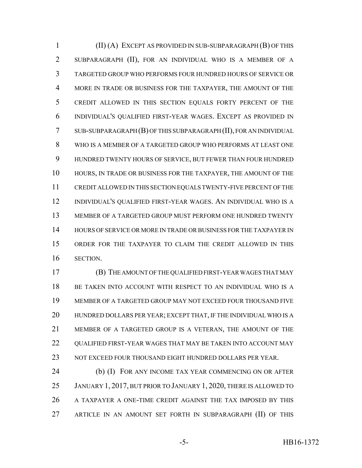(II) (A) EXCEPT AS PROVIDED IN SUB-SUBPARAGRAPH (B) OF THIS SUBPARAGRAPH (II), FOR AN INDIVIDUAL WHO IS A MEMBER OF A TARGETED GROUP WHO PERFORMS FOUR HUNDRED HOURS OF SERVICE OR MORE IN TRADE OR BUSINESS FOR THE TAXPAYER, THE AMOUNT OF THE CREDIT ALLOWED IN THIS SECTION EQUALS FORTY PERCENT OF THE INDIVIDUAL'S QUALIFIED FIRST-YEAR WAGES. EXCEPT AS PROVIDED IN SUB-SUBPARAGRAPH (B) OF THIS SUBPARAGRAPH (II), FOR AN INDIVIDUAL WHO IS A MEMBER OF A TARGETED GROUP WHO PERFORMS AT LEAST ONE HUNDRED TWENTY HOURS OF SERVICE, BUT FEWER THAN FOUR HUNDRED HOURS, IN TRADE OR BUSINESS FOR THE TAXPAYER, THE AMOUNT OF THE CREDIT ALLOWED IN THIS SECTION EQUALS TWENTY-FIVE PERCENT OF THE INDIVIDUAL'S QUALIFIED FIRST-YEAR WAGES. AN INDIVIDUAL WHO IS A MEMBER OF A TARGETED GROUP MUST PERFORM ONE HUNDRED TWENTY HOURS OF SERVICE OR MORE IN TRADE OR BUSINESS FOR THE TAXPAYER IN ORDER FOR THE TAXPAYER TO CLAIM THE CREDIT ALLOWED IN THIS SECTION.

 (B) THE AMOUNT OF THE QUALIFIED FIRST-YEAR WAGES THAT MAY BE TAKEN INTO ACCOUNT WITH RESPECT TO AN INDIVIDUAL WHO IS A MEMBER OF A TARGETED GROUP MAY NOT EXCEED FOUR THOUSAND FIVE HUNDRED DOLLARS PER YEAR; EXCEPT THAT, IF THE INDIVIDUAL WHO IS A MEMBER OF A TARGETED GROUP IS A VETERAN, THE AMOUNT OF THE 22 OUALIFIED FIRST-YEAR WAGES THAT MAY BE TAKEN INTO ACCOUNT MAY NOT EXCEED FOUR THOUSAND EIGHT HUNDRED DOLLARS PER YEAR.

 (b) (I) FOR ANY INCOME TAX YEAR COMMENCING ON OR AFTER JANUARY 1, 2017, BUT PRIOR TO JANUARY 1, 2020, THERE IS ALLOWED TO A TAXPAYER A ONE-TIME CREDIT AGAINST THE TAX IMPOSED BY THIS ARTICLE IN AN AMOUNT SET FORTH IN SUBPARAGRAPH (II) OF THIS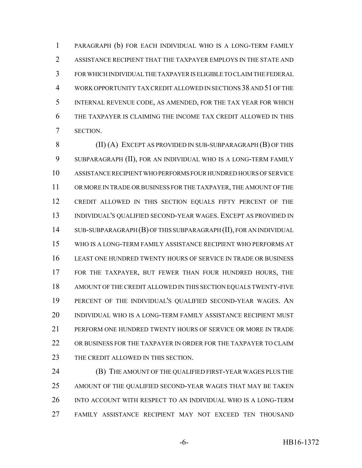PARAGRAPH (b) FOR EACH INDIVIDUAL WHO IS A LONG-TERM FAMILY ASSISTANCE RECIPIENT THAT THE TAXPAYER EMPLOYS IN THE STATE AND FOR WHICH INDIVIDUAL THE TAXPAYER IS ELIGIBLE TO CLAIM THE FEDERAL WORK OPPORTUNITY TAX CREDIT ALLOWED IN SECTIONS 38 AND 51 OF THE INTERNAL REVENUE CODE, AS AMENDED, FOR THE TAX YEAR FOR WHICH THE TAXPAYER IS CLAIMING THE INCOME TAX CREDIT ALLOWED IN THIS SECTION.

8 (II) (A) EXCEPT AS PROVIDED IN SUB-SUBPARAGRAPH (B) OF THIS SUBPARAGRAPH (II), FOR AN INDIVIDUAL WHO IS A LONG-TERM FAMILY ASSISTANCE RECIPIENT WHO PERFORMS FOUR HUNDRED HOURS OF SERVICE OR MORE IN TRADE OR BUSINESS FOR THE TAXPAYER, THE AMOUNT OF THE CREDIT ALLOWED IN THIS SECTION EQUALS FIFTY PERCENT OF THE INDIVIDUAL'S QUALIFIED SECOND-YEAR WAGES. EXCEPT AS PROVIDED IN SUB-SUBPARAGRAPH (B) OF THIS SUBPARAGRAPH (II), FOR AN INDIVIDUAL WHO IS A LONG-TERM FAMILY ASSISTANCE RECIPIENT WHO PERFORMS AT LEAST ONE HUNDRED TWENTY HOURS OF SERVICE IN TRADE OR BUSINESS FOR THE TAXPAYER, BUT FEWER THAN FOUR HUNDRED HOURS, THE AMOUNT OF THE CREDIT ALLOWED IN THIS SECTION EQUALS TWENTY-FIVE PERCENT OF THE INDIVIDUAL'S QUALIFIED SECOND-YEAR WAGES. AN INDIVIDUAL WHO IS A LONG-TERM FAMILY ASSISTANCE RECIPIENT MUST PERFORM ONE HUNDRED TWENTY HOURS OF SERVICE OR MORE IN TRADE OR BUSINESS FOR THE TAXPAYER IN ORDER FOR THE TAXPAYER TO CLAIM 23 THE CREDIT ALLOWED IN THIS SECTION.

 (B) THE AMOUNT OF THE QUALIFIED FIRST-YEAR WAGES PLUS THE AMOUNT OF THE QUALIFIED SECOND-YEAR WAGES THAT MAY BE TAKEN INTO ACCOUNT WITH RESPECT TO AN INDIVIDUAL WHO IS A LONG-TERM FAMILY ASSISTANCE RECIPIENT MAY NOT EXCEED TEN THOUSAND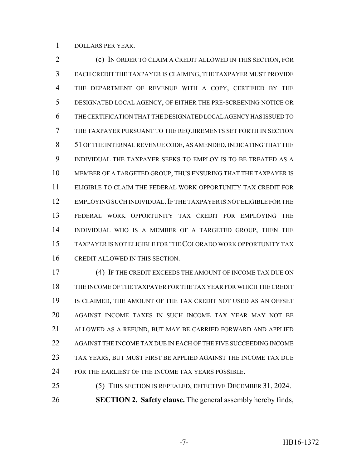DOLLARS PER YEAR.

 (c) IN ORDER TO CLAIM A CREDIT ALLOWED IN THIS SECTION, FOR EACH CREDIT THE TAXPAYER IS CLAIMING, THE TAXPAYER MUST PROVIDE THE DEPARTMENT OF REVENUE WITH A COPY, CERTIFIED BY THE DESIGNATED LOCAL AGENCY, OF EITHER THE PRE-SCREENING NOTICE OR THE CERTIFICATION THAT THE DESIGNATED LOCAL AGENCY HAS ISSUED TO THE TAXPAYER PURSUANT TO THE REQUIREMENTS SET FORTH IN SECTION 51 OF THE INTERNAL REVENUE CODE, AS AMENDED, INDICATING THAT THE INDIVIDUAL THE TAXPAYER SEEKS TO EMPLOY IS TO BE TREATED AS A MEMBER OF A TARGETED GROUP, THUS ENSURING THAT THE TAXPAYER IS ELIGIBLE TO CLAIM THE FEDERAL WORK OPPORTUNITY TAX CREDIT FOR 12 EMPLOYING SUCH INDIVIDUAL. IF THE TAXPAYER IS NOT ELIGIBLE FOR THE FEDERAL WORK OPPORTUNITY TAX CREDIT FOR EMPLOYING THE INDIVIDUAL WHO IS A MEMBER OF A TARGETED GROUP, THEN THE TAXPAYER IS NOT ELIGIBLE FOR THE COLORADO WORK OPPORTUNITY TAX CREDIT ALLOWED IN THIS SECTION.

 (4) IF THE CREDIT EXCEEDS THE AMOUNT OF INCOME TAX DUE ON THE INCOME OF THE TAXPAYER FOR THE TAX YEAR FOR WHICH THE CREDIT IS CLAIMED, THE AMOUNT OF THE TAX CREDIT NOT USED AS AN OFFSET AGAINST INCOME TAXES IN SUCH INCOME TAX YEAR MAY NOT BE ALLOWED AS A REFUND, BUT MAY BE CARRIED FORWARD AND APPLIED AGAINST THE INCOME TAX DUE IN EACH OF THE FIVE SUCCEEDING INCOME TAX YEARS, BUT MUST FIRST BE APPLIED AGAINST THE INCOME TAX DUE FOR THE EARLIEST OF THE INCOME TAX YEARS POSSIBLE.

 (5) THIS SECTION IS REPEALED, EFFECTIVE DECEMBER 31, 2024. **SECTION 2. Safety clause.** The general assembly hereby finds,